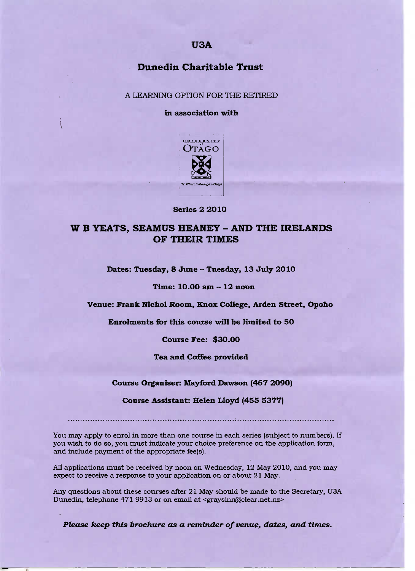## **USA**

# **Dunedin Charitable Trust**

A LEARNING OPTION FOR THE RETIRED

**in association with**



#### **Series 2 2010**

# **W B YEATS,** SEAMUS HEANEY **-** AND **THE IRELANDS OF THEIR TIMES**

**Dates: Tuesday, 8 June - Tuesday, 13 July 2010**

**Time: 10.00 am - 12 noon**

**Venue: Frank Nichol Room, Knox College, Arden Street, Opoho**

**Enrolments for this course will be limited to 50**

**Course Fee: \$3O.OO**

**Tea and Coffee provided**

**Course Organiser: Mayford Dawson (467 2O9O)**

**Course Assistant: Helen Lloyd (455 5377)**

You may apply to enrol in more than one course in each series (subject to numbers). If you wish to do so, you must indicate your choice preference on the application form, and include payment of the appropriate fee(s).

All applications must be received by noon on Wednesday, 12 May 2010, and you may expect to receive a response to your application on or about 21 May.

Any questions about these courses after 21 May should be made to the Secretary, USA Dunedin, telephone 471 9913 or on email at <graysinn@clear.net.nz>

*Please keep this brochure as a reminder of venue, dates, and times.*